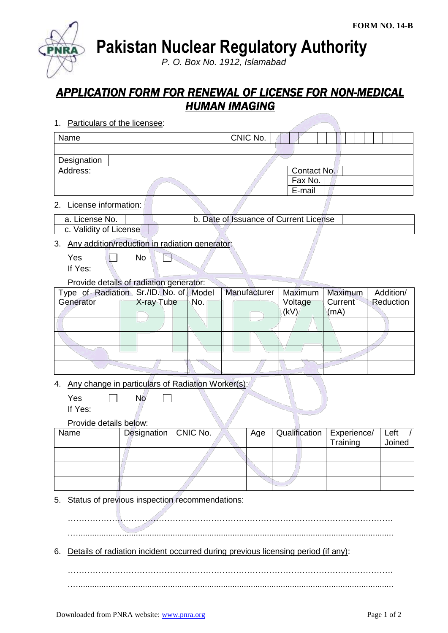**Pakistan Nuclear Regulatory Authority**

*P. O. Box No. 1912, Islamabad*

## *APPLICATION FORM FOR RENEWAL OF LICENSE FOR NON-MEDICAL HUMAN IMAGING*

1. Particulars of the licensee:

| Name                                                                                                              | CNIC No.    |                                  |  |              |                                        |                            |                        |  |
|-------------------------------------------------------------------------------------------------------------------|-------------|----------------------------------|--|--------------|----------------------------------------|----------------------------|------------------------|--|
| Designation<br>Address:                                                                                           |             | Contact No.<br>Fax No.<br>E-mail |  |              |                                        |                            |                        |  |
| License information:<br>2.<br>a. License No.<br>c. Validity of License                                            |             |                                  |  |              | b. Date of Issuance of Current License |                            |                        |  |
| Any addition/reduction in radiation generator:<br>3.<br>Yes<br>If Yes:<br>Provide details of radiation generator: | <b>No</b>   |                                  |  |              |                                        |                            |                        |  |
| Type of Radiation Sr./ID. No. of Model<br>Generator                                                               | X-ray Tube  | No.                              |  | Manufacturer | Maximum<br>Voltage<br>(kV)             | Maximum<br>Current<br>(mA) | Addition/<br>Reduction |  |
|                                                                                                                   |             |                                  |  |              |                                        |                            |                        |  |
| Any change in particulars of Radiation Worker(s):<br>4.<br>Yes<br>If Yes:                                         | <b>No</b>   |                                  |  |              |                                        |                            |                        |  |
| Provide details below:<br>Name                                                                                    | Designation | CNIC No.                         |  | Age          | Qualification                          | Experience/<br>Training    | Left<br>Joined         |  |
|                                                                                                                   |             |                                  |  |              |                                        |                            |                        |  |
| Status of previous inspection recommendations:<br>5.                                                              |             |                                  |  |              |                                        |                            |                        |  |
| Details of radiation incident occurred during previous licensing period (if any):<br>6.                           |             |                                  |  |              |                                        |                            |                        |  |